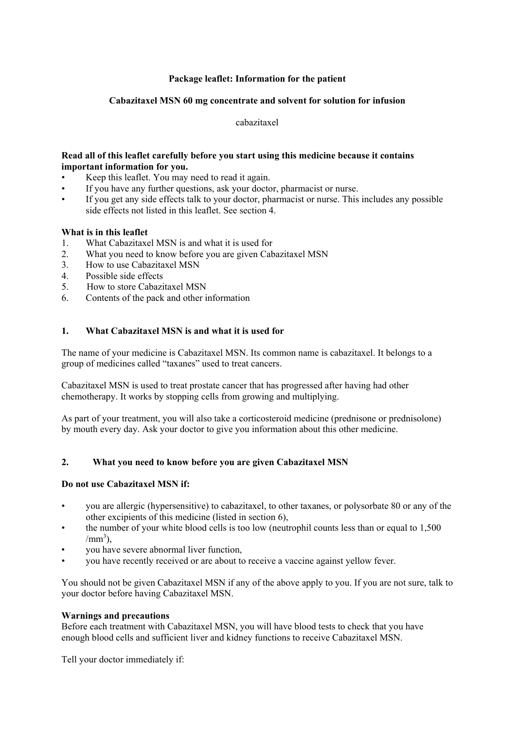## **Package leaflet: Information for the patient**

## **Cabazitaxel MSN 60 mg concentrate and solvent for solution for infusion**

cabazitaxel

### **Read all of this leaflet carefully before you start using this medicine because it contains important information for you.**

- Keep this leaflet. You may need to read it again.
- If you have any further questions, ask your doctor, pharmacist or nurse.
- If you get any side effects talk to your doctor, pharmacist or nurse. This includes any possible side effects not listed in this leaflet. See section 4.

### **What is in this leaflet**

- 1. What Cabazitaxel MSN is and what it is used for
- 2. What you need to know before you are given Cabazitaxel MSN
- 3. How to use Cabazitaxel MSN
- 4. Possible side effects
- 5. How to store Cabazitaxel MSN
- 6. Contents of the pack and other information

### **1. What Cabazitaxel MSN is and what it is used for**

The name of your medicine is Cabazitaxel MSN. Its common name is cabazitaxel. It belongs to a group of medicines called "taxanes" used to treat cancers.

Cabazitaxel MSN is used to treat prostate cancer that has progressed after having had other chemotherapy. It works by stopping cells from growing and multiplying.

As part of your treatment, you will also take a corticosteroid medicine (prednisone or prednisolone) by mouth every day. Ask your doctor to give you information about this other medicine.

### **2. What you need to know before you are given Cabazitaxel MSN**

### **Do not use Cabazitaxel MSN if:**

- you are allergic (hypersensitive) to cabazitaxel, to other taxanes, or polysorbate 80 or any of the other excipients of this medicine (listed in section 6),
- the number of your white blood cells is too low (neutrophil counts less than or equal to 1,500  $\text{/mm}^3$ ),
- you have severe abnormal liver function,
- you have recently received or are about to receive a vaccine against yellow fever.

You should not be given Cabazitaxel MSN if any of the above apply to you. If you are not sure, talk to your doctor before having Cabazitaxel MSN.

#### **Warnings and precautions**

Before each treatment with Cabazitaxel MSN, you will have blood tests to check that you have enough blood cells and sufficient liver and kidney functions to receive Cabazitaxel MSN.

Tell your doctor immediately if: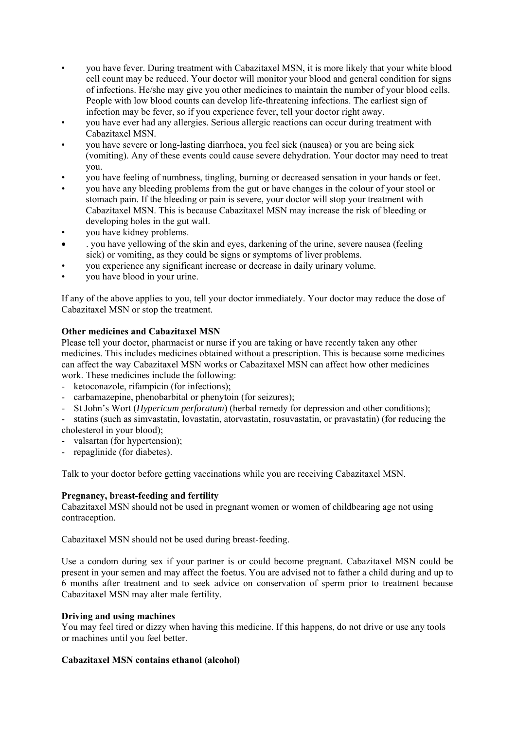- you have fever. During treatment with Cabazitaxel MSN, it is more likely that your white blood cell count may be reduced. Your doctor will monitor your blood and general condition for signs of infections. He/she may give you other medicines to maintain the number of your blood cells. People with low blood counts can develop life-threatening infections. The earliest sign of infection may be fever, so if you experience fever, tell your doctor right away.
- you have ever had any allergies. Serious allergic reactions can occur during treatment with Cabazitaxel MSN.
- you have severe or long-lasting diarrhoea, you feel sick (nausea) or you are being sick (vomiting). Any of these events could cause severe dehydration. Your doctor may need to treat you.
- you have feeling of numbness, tingling, burning or decreased sensation in your hands or feet.
- you have any bleeding problems from the gut or have changes in the colour of your stool or stomach pain. If the bleeding or pain is severe, your doctor will stop your treatment with Cabazitaxel MSN. This is because Cabazitaxel MSN may increase the risk of bleeding or developing holes in the gut wall.
- you have kidney problems.
- . you have yellowing of the skin and eyes, darkening of the urine, severe nausea (feeling sick) or vomiting, as they could be signs or symptoms of liver problems.
- you experience any significant increase or decrease in daily urinary volume.
- you have blood in your urine.

If any of the above applies to you, tell your doctor immediately. Your doctor may reduce the dose of Cabazitaxel MSN or stop the treatment.

## **Other medicines and Cabazitaxel MSN**

Please tell your doctor, pharmacist or nurse if you are taking or have recently taken any other medicines. This includes medicines obtained without a prescription. This is because some medicines can affect the way Cabazitaxel MSN works or Cabazitaxel MSN can affect how other medicines work. These medicines include the following:

- ketoconazole, rifampicin (for infections);
- carbamazepine, phenobarbital or phenytoin (for seizures);
- St John's Wort (*Hypericum perforatum*) (herbal remedy for depression and other conditions);
- statins (such as simvastatin, lovastatin, atorvastatin, rosuvastatin, or pravastatin) (for reducing the cholesterol in your blood);
- valsartan (for hypertension);
- repaglinide (for diabetes).

Talk to your doctor before getting vaccinations while you are receiving Cabazitaxel MSN.

### **Pregnancy, breast-feeding and fertility**

Cabazitaxel MSN should not be used in pregnant women or women of childbearing age not using contraception.

Cabazitaxel MSN should not be used during breast-feeding.

Use a condom during sex if your partner is or could become pregnant. Cabazitaxel MSN could be present in your semen and may affect the foetus. You are advised not to father a child during and up to 6 months after treatment and to seek advice on conservation of sperm prior to treatment because Cabazitaxel MSN may alter male fertility.

### **Driving and using machines**

You may feel tired or dizzy when having this medicine. If this happens, do not drive or use any tools or machines until you feel better.

### **Cabazitaxel MSN contains ethanol (alcohol)**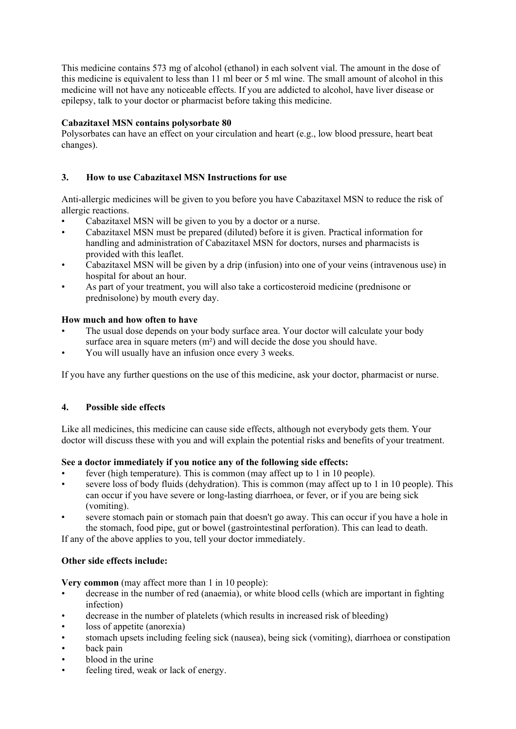This medicine contains 573 mg of alcohol (ethanol) in each solvent vial. The amount in the dose of this medicine is equivalent to less than 11 ml beer or 5 ml wine. The small amount of alcohol in this medicine will not have any noticeable effects. If you are addicted to alcohol, have liver disease or epilepsy, talk to your doctor or pharmacist before taking this medicine.

# **Cabazitaxel MSN contains polysorbate 80**

Polysorbates can have an effect on your circulation and heart (e.g., low blood pressure, heart beat changes).

## **3. How to use Cabazitaxel MSN Instructions for use**

Anti-allergic medicines will be given to you before you have Cabazitaxel MSN to reduce the risk of allergic reactions.

- Cabazitaxel MSN will be given to you by a doctor or a nurse.
- Cabazitaxel MSN must be prepared (diluted) before it is given. Practical information for handling and administration of Cabazitaxel MSN for doctors, nurses and pharmacists is provided with this leaflet.
- Cabazitaxel MSN will be given by a drip (infusion) into one of your veins (intravenous use) in hospital for about an hour.
- As part of your treatment, you will also take a corticosteroid medicine (prednisone or prednisolone) by mouth every day.

## **How much and how often to have**

- The usual dose depends on your body surface area. Your doctor will calculate your body surface area in square meters  $(m<sup>2</sup>)$  and will decide the dose you should have.
- You will usually have an infusion once every 3 weeks.

If you have any further questions on the use of this medicine, ask your doctor, pharmacist or nurse.

## **4. Possible side effects**

Like all medicines, this medicine can cause side effects, although not everybody gets them. Your doctor will discuss these with you and will explain the potential risks and benefits of your treatment.

## **See a doctor immediately if you notice any of the following side effects:**

- fever (high temperature). This is common (may affect up to 1 in 10 people).
- severe loss of body fluids (dehydration). This is common (may affect up to 1 in 10 people). This can occur if you have severe or long-lasting diarrhoea, or fever, or if you are being sick (vomiting).
- severe stomach pain or stomach pain that doesn't go away. This can occur if you have a hole in the stomach, food pipe, gut or bowel (gastrointestinal perforation). This can lead to death.

If any of the above applies to you, tell your doctor immediately.

## **Other side effects include:**

**Very common** (may affect more than 1 in 10 people):

- decrease in the number of red (anaemia), or white blood cells (which are important in fighting infection)
- decrease in the number of platelets (which results in increased risk of bleeding)
- loss of appetite (anorexia)
- stomach upsets including feeling sick (nausea), being sick (vomiting), diarrhoea or constipation
- back pain
- blood in the urine
- feeling tired, weak or lack of energy.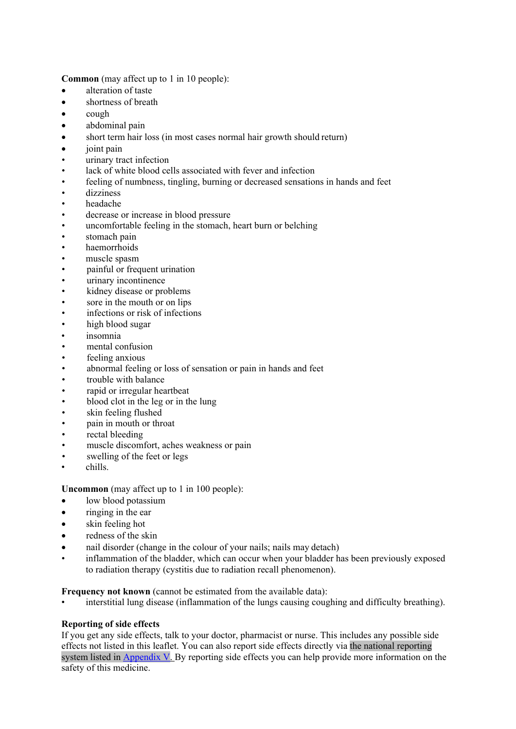**Common** (may affect up to 1 in 10 people):

- alteration of taste
- shortness of breath
- $\bullet$  cough
- abdominal pain
- short term hair loss (in most cases normal hair growth should return)
- joint pain
- urinary tract infection
- lack of white blood cells associated with fever and infection
- feeling of numbness, tingling, burning or decreased sensations in hands and feet
- dizziness
- headache
- decrease or increase in blood pressure
- uncomfortable feeling in the stomach, heart burn or belching
- stomach pain
- haemorrhoids
- muscle spasm
- painful or frequent urination
- urinary incontinence
- kidney disease or problems
- sore in the mouth or on lips
- infections or risk of infections
- high blood sugar
- insomnia
- mental confusion
- feeling anxious
- abnormal feeling or loss of sensation or pain in hands and feet
- trouble with balance
- rapid or irregular heartbeat
- blood clot in the leg or in the lung
- skin feeling flushed
- pain in mouth or throat
- rectal bleeding
- muscle discomfort, aches weakness or pain
- swelling of the feet or legs
- chills.

**Uncommon** (may affect up to 1 in 100 people):

- low blood potassium
- ringing in the ear
- skin feeling hot
- redness of the skin
- nail disorder (change in the colour of your nails; nails may detach)
- inflammation of the bladder, which can occur when your bladder has been previously exposed to radiation therapy (cystitis due to radiation recall phenomenon).

**Frequency not known** (cannot be estimated from the available data):

• interstitial lung disease (inflammation of the lungs causing coughing and difficulty breathing).

## **Reporting of side effects**

If you get any side effects, talk to your doctor, pharmacist or nurse. This includes any possible side effects not listed in this leaflet. You can also report side effects directly via the national reporting system listed in Appendix V. By reporting side effects you can help provide more information on the safety of this medicine.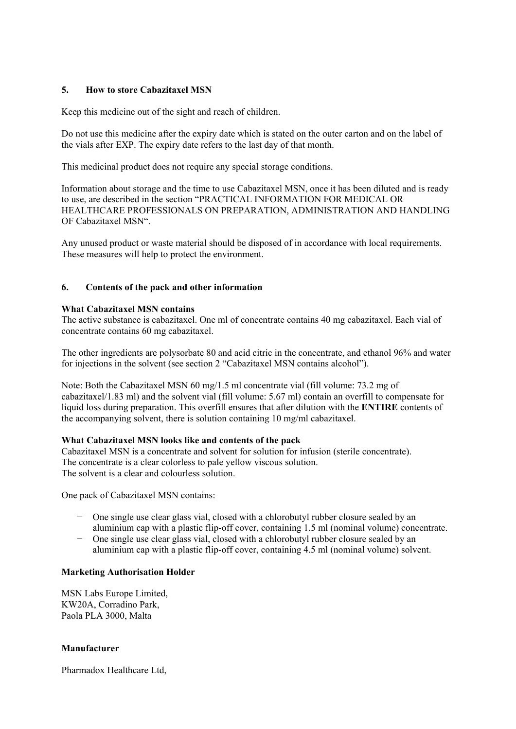## **5. How to store Cabazitaxel MSN**

Keep this medicine out of the sight and reach of children.

Do not use this medicine after the expiry date which is stated on the outer carton and on the label of the vials after EXP. The expiry date refers to the last day of that month.

This medicinal product does not require any special storage conditions.

Information about storage and the time to use Cabazitaxel MSN, once it has been diluted and is ready to use, are described in the section "PRACTICAL INFORMATION FOR MEDICAL OR HEALTHCARE PROFESSIONALS ON PREPARATION, ADMINISTRATION AND HANDLING OF Cabazitaxel MSN".

Any unused product or waste material should be disposed of in accordance with local requirements. These measures will help to protect the environment.

## **6. Contents of the pack and other information**

## **What Cabazitaxel MSN contains**

The active substance is cabazitaxel. One ml of concentrate contains 40 mg cabazitaxel. Each vial of concentrate contains 60 mg cabazitaxel.

The other ingredients are polysorbate 80 and acid citric in the concentrate, and ethanol 96% and water for injections in the solvent (see section 2 "Cabazitaxel MSN contains alcohol").

Note: Both the Cabazitaxel MSN 60 mg/1.5 ml concentrate vial (fill volume: 73.2 mg of cabazitaxel/1.83 ml) and the solvent vial (fill volume: 5.67 ml) contain an overfill to compensate for liquid loss during preparation. This overfill ensures that after dilution with the **ENTIRE** contents of the accompanying solvent, there is solution containing 10 mg/ml cabazitaxel.

### **What Cabazitaxel MSN looks like and contents of the pack**

Cabazitaxel MSN is a concentrate and solvent for solution for infusion (sterile concentrate). The concentrate is a clear colorless to pale yellow viscous solution. The solvent is a clear and colourless solution.

One pack of Cabazitaxel MSN contains:

- − One single use clear glass vial, closed with a chlorobutyl rubber closure sealed by an aluminium cap with a plastic flip-off cover, containing 1.5 ml (nominal volume) concentrate.
- − One single use clear glass vial, closed with a chlorobutyl rubber closure sealed by an aluminium cap with a plastic flip-off cover, containing 4.5 ml (nominal volume) solvent.

### **Marketing Authorisation Holder**

MSN Labs Europe Limited, KW20A, Corradino Park, Paola PLA 3000, Malta

### **Manufacturer**

Pharmadox Healthcare Ltd,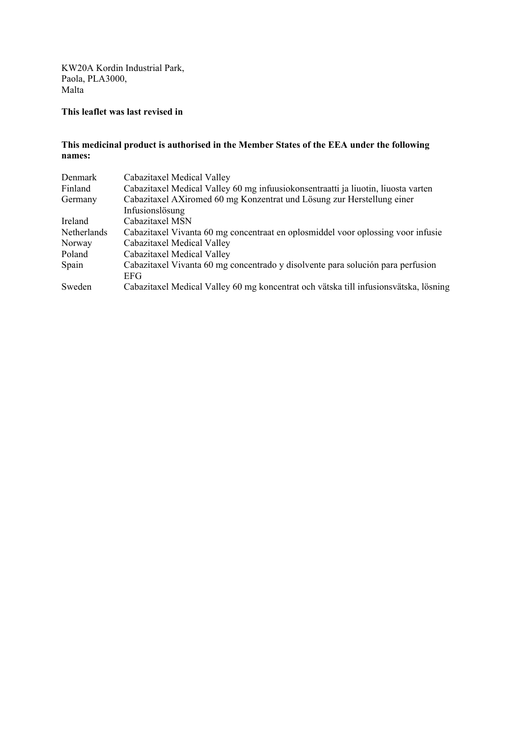KW20A Kordin Industrial Park, Paola, PLA3000, Malta

# **This leaflet was last revised in**

# **This medicinal product is authorised in the Member States of the EEA under the following names:**

| Denmark        | Cabazitaxel Medical Valley                                                           |
|----------------|--------------------------------------------------------------------------------------|
| Finland        | Cabazitaxel Medical Valley 60 mg infuusiokonsentraatti ja liuotin, liuosta varten    |
| Germany        | Cabazitaxel AXiromed 60 mg Konzentrat und Lösung zur Herstellung einer               |
|                | Infusionslösung                                                                      |
| <b>Ireland</b> | Cabazitaxel MSN                                                                      |
| Netherlands    | Cabazitaxel Vivanta 60 mg concentraat en oplosmiddel voor oplossing voor infusie     |
| Norway         | Cabazitaxel Medical Valley                                                           |
| Poland         | Cabazitaxel Medical Valley                                                           |
| Spain          | Cabazitaxel Vivanta 60 mg concentrado y disolvente para solución para perfusion      |
|                | <b>EFG</b>                                                                           |
| Sweden         | Cabazitaxel Medical Valley 60 mg koncentrat och vätska till infusionsvätska, lösning |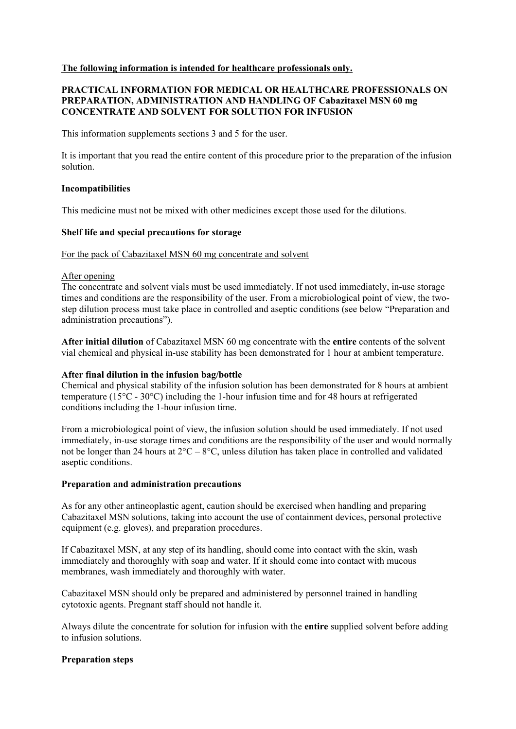### **The following information is intended for healthcare professionals only.**

## **PRACTICAL INFORMATION FOR MEDICAL OR HEALTHCARE PROFESSIONALS ON PREPARATION, ADMINISTRATION AND HANDLING OF Cabazitaxel MSN 60 mg CONCENTRATE AND SOLVENT FOR SOLUTION FOR INFUSION**

This information supplements sections 3 and 5 for the user.

It is important that you read the entire content of this procedure prior to the preparation of the infusion solution.

### **Incompatibilities**

This medicine must not be mixed with other medicines except those used for the dilutions.

### **Shelf life and special precautions for storage**

## For the pack of Cabazitaxel MSN 60 mg concentrate and solvent

#### After opening

The concentrate and solvent vials must be used immediately. If not used immediately, in-use storage times and conditions are the responsibility of the user. From a microbiological point of view, the twostep dilution process must take place in controlled and aseptic conditions (see below "Preparation and administration precautions").

**After initial dilution** of Cabazitaxel MSN 60 mg concentrate with the **entire** contents of the solvent vial chemical and physical in-use stability has been demonstrated for 1 hour at ambient temperature.

### **After final dilution in the infusion bag/bottle**

Chemical and physical stability of the infusion solution has been demonstrated for 8 hours at ambient temperature (15°C - 30°C) including the 1-hour infusion time and for 48 hours at refrigerated conditions including the 1-hour infusion time.

From a microbiological point of view, the infusion solution should be used immediately. If not used immediately, in-use storage times and conditions are the responsibility of the user and would normally not be longer than 24 hours at  $2^{\circ}C - 8^{\circ}C$ , unless dilution has taken place in controlled and validated aseptic conditions.

### **Preparation and administration precautions**

As for any other antineoplastic agent, caution should be exercised when handling and preparing Cabazitaxel MSN solutions, taking into account the use of containment devices, personal protective equipment (e.g. gloves), and preparation procedures.

If Cabazitaxel MSN, at any step of its handling, should come into contact with the skin, wash immediately and thoroughly with soap and water. If it should come into contact with mucous membranes, wash immediately and thoroughly with water.

Cabazitaxel MSN should only be prepared and administered by personnel trained in handling cytotoxic agents. Pregnant staff should not handle it.

Always dilute the concentrate for solution for infusion with the **entire** supplied solvent before adding to infusion solutions.

### **Preparation steps**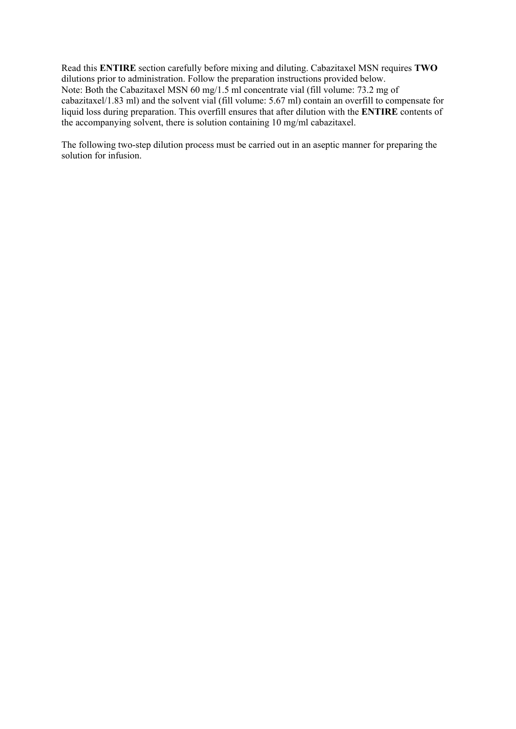Read this **ENTIRE** section carefully before mixing and diluting. Cabazitaxel MSN requires **TWO** dilutions prior to administration. Follow the preparation instructions provided below. Note: Both the Cabazitaxel MSN 60 mg/1.5 ml concentrate vial (fill volume: 73.2 mg of cabazitaxel/1.83 ml) and the solvent vial (fill volume: 5.67 ml) contain an overfill to compensate for liquid loss during preparation. This overfill ensures that after dilution with the **ENTIRE** contents of the accompanying solvent, there is solution containing 10 mg/ml cabazitaxel.

The following two-step dilution process must be carried out in an aseptic manner for preparing the solution for infusion.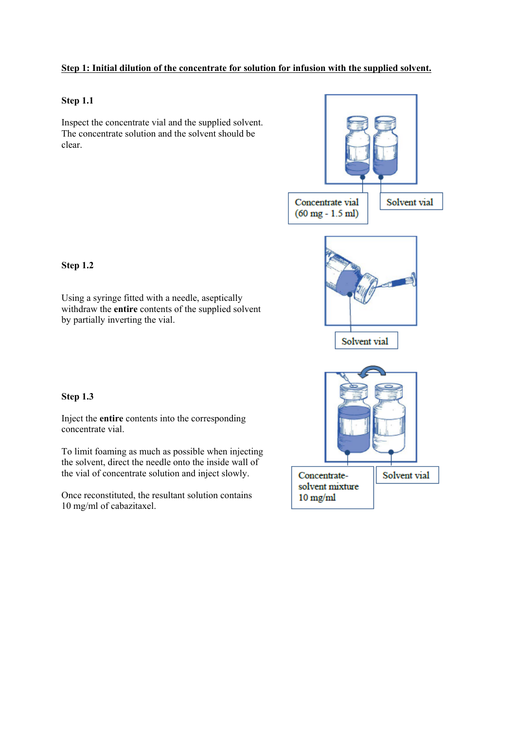## **Step 1: Initial dilution of the concentrate for solution for infusion with the supplied solvent.**

#### **Step 1.1**

Inspect the concentrate vial and the supplied solvent. The concentrate solution and the solvent should be clear.



## **Step 1.2**

Using a syringe fitted with a needle, aseptically withdraw the **entire** contents of the supplied solvent by partially inverting the vial.

## **Step 1.3**

Inject the **entire** contents into the corresponding concentrate vial.

To limit foaming as much as possible when injecting the solvent, direct the needle onto the inside wall of the vial of concentrate solution and inject slowly.

Once reconstituted, the resultant solution contains 10 mg/ml of cabazitaxel.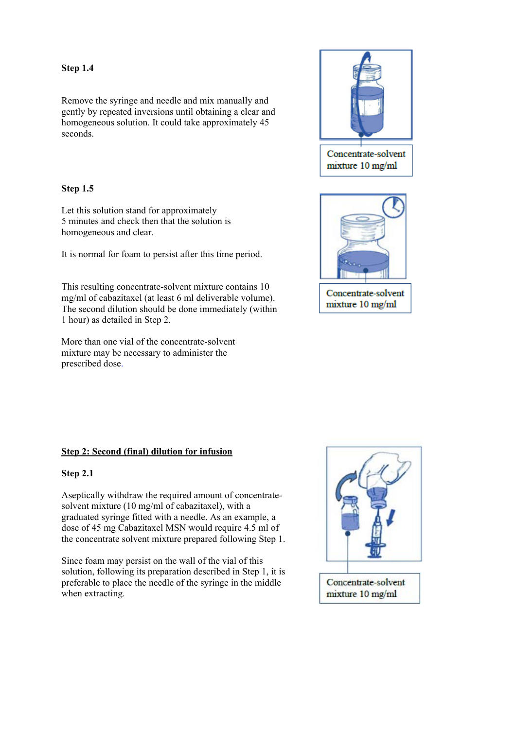### **Step 1.4**

Remove the syringe and needle and mix manually and gently by repeated inversions until obtaining a clear and homogeneous solution. It could take approximately 45 seconds.

## **Step 1.5**

Let this solution stand for approximately 5 minutes and check then that the solution is homogeneous and clear.

It is normal for foam to persist after this time period.

This resulting concentrate-solvent mixture contains 10 mg/ml of cabazitaxel (at least 6 ml deliverable volume). The second dilution should be done immediately (within 1 hour) as detailed in Step 2.

More than one vial of the concentrate-solvent mixture may be necessary to administer the prescribed dose.



Concentrate-solvent mixture 10 mg/ml



Concentrate-solvent mixture 10 mg/ml

## **Step 2: Second (final) dilution for infusion**

### **Step 2.1**

Aseptically withdraw the required amount of concentratesolvent mixture (10 mg/ml of cabazitaxel), with a graduated syringe fitted with a needle. As an example, a dose of 45 mg Cabazitaxel MSN would require 4.5 ml of the concentrate solvent mixture prepared following Step 1.

Since foam may persist on the wall of the vial of this solution, following its preparation described in Step 1, it is preferable to place the needle of the syringe in the middle when extracting.